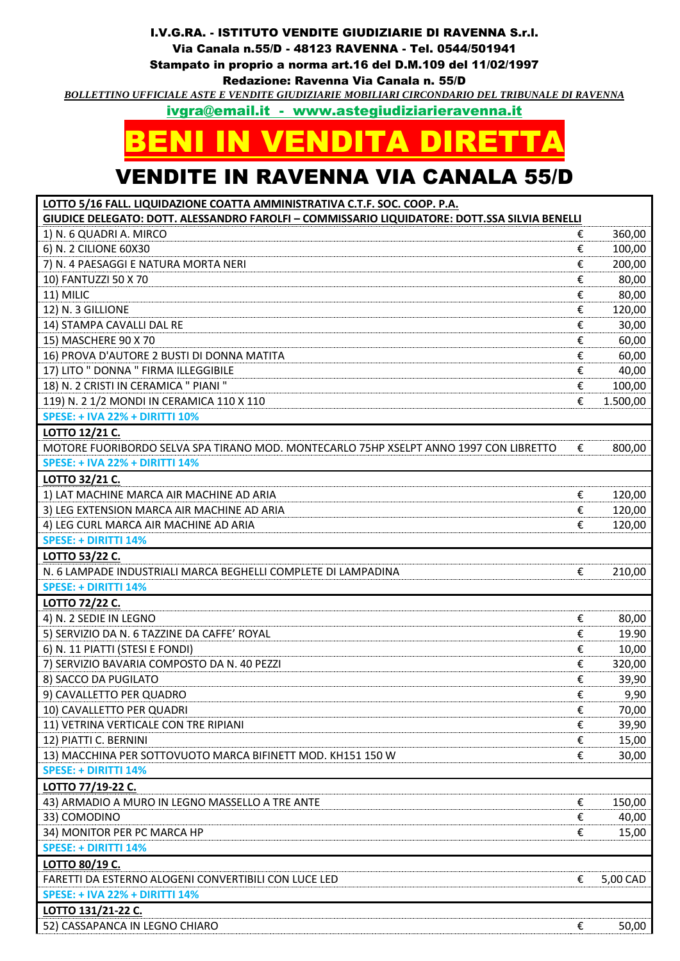## I.V.G.RA. - ISTITUTO VENDITE GIUDIZIARIE DI RAVENNA S.r.l.

Via Canala n.55/D - 48123 RAVENNA - Tel. 0544/501941

Stampato in proprio a norma art.16 del D.M.109 del 11/02/1997

Redazione: Ravenna Via Canala n. 55/D

*BOLLETTINO UFFICIALE ASTE E VENDITE GIUDIZIARIE MOBILIARI CIRCONDARIO DEL TRIBUNALE DI RAVENNA*

[ivgra@email.it](mailto:ivgra@email.it) - www.astegiudiziarieravenna.it

## BENI IN VENDITA DIRETTA

## VENDITE IN RAVENNA VIA CANALA 55/D

**LOTTO 5/16 FALL. LIQUIDAZIONE COATTA AMMINISTRATIVA C.T.F. SOC. COOP. P.A.**

| LOTTO 3/10 TALL. LIQUIDAZIONE COATTA AINININISTINATIVA C.I.II . 30C. COOF. F.A.<br>GIUDICE DELEGATO: DOTT. ALESSANDRO FAROLFI - COMMISSARIO LIQUIDATORE: DOTT.SSA SILVIA BENELLI |   |          |
|----------------------------------------------------------------------------------------------------------------------------------------------------------------------------------|---|----------|
| 1) N. 6 QUADRI A. MIRCO                                                                                                                                                          | € | 360,00   |
| 6) N. 2 CILIONE 60X30                                                                                                                                                            | € | 100,00   |
| 7) N. 4 PAESAGGI E NATURA MORTA NERI                                                                                                                                             | € | 200,00   |
| 10) FANTUZZI 50 X 70                                                                                                                                                             | € | 80,00    |
| 11) MILIC                                                                                                                                                                        | € | 80,00    |
| 12) N. 3 GILLIONE                                                                                                                                                                | € | 120,00   |
| 14) STAMPA CAVALLI DAL RE                                                                                                                                                        | € | 30,00    |
| 15) MASCHERE 90 X 70                                                                                                                                                             | € | 60,00    |
| 16) PROVA D'AUTORE 2 BUSTI DI DONNA MATITA                                                                                                                                       | € | 60,00    |
| 17) LITO " DONNA " FIRMA ILLEGGIBILE                                                                                                                                             | € | 40,00    |
| 18) N. 2 CRISTI IN CERAMICA " PIANI "                                                                                                                                            | € | 100,00   |
| 119) N. 21/2 MONDI IN CERAMICA 110 X 110                                                                                                                                         | € | 1.500,00 |
| <b>SPESE: + IVA 22% + DIRITTI 10%</b>                                                                                                                                            |   |          |
| LOTTO 12/21 C.                                                                                                                                                                   |   |          |
| MOTORE FUORIBORDO SELVA SPA TIRANO MOD. MONTECARLO 75HP XSELPT ANNO 1997 CON LIBRETTO                                                                                            | € | 800,00   |
| <b>SPESE: + IVA 22% + DIRITTI 14%</b>                                                                                                                                            |   |          |
| <b>LOTTO 32/21 C.</b>                                                                                                                                                            |   |          |
| 1) LAT MACHINE MARCA AIR MACHINE AD ARIA                                                                                                                                         | € | 120,00   |
| 3) LEG EXTENSION MARCA AIR MACHINE AD ARIA                                                                                                                                       | € | 120,00   |
| 4) LEG CURL MARCA AIR MACHINE AD ARIA                                                                                                                                            | € | 120,00   |
| <b>SPESE: + DIRITTI 14%</b>                                                                                                                                                      |   |          |
| LOTTO 53/22 C.                                                                                                                                                                   |   |          |
| N. 6 LAMPADE INDUSTRIALI MARCA BEGHELLI COMPLETE DI LAMPADINA                                                                                                                    | € | 210,00   |
| <b>SPESE: + DIRITTI 14%</b>                                                                                                                                                      |   |          |
| LOTTO 72/22 C.                                                                                                                                                                   |   |          |
| 4) N. 2 SEDIE IN LEGNO                                                                                                                                                           | € | 80,00    |
| 5) SERVIZIO DA N. 6 TAZZINE DA CAFFE' ROYAL                                                                                                                                      | € | 19.90    |
| 6) N. 11 PIATTI (STESI E FONDI)                                                                                                                                                  | € | 10,00    |
| 7) SERVIZIO BAVARIA COMPOSTO DA N. 40 PEZZI                                                                                                                                      | € | 320,00   |
| 8) SACCO DA PUGILATO                                                                                                                                                             | € | 39,90    |
| 9) CAVALLETTO PER QUADRO                                                                                                                                                         | € | 9,90     |
| 10) CAVALLETTO PER QUADRI                                                                                                                                                        | € | 70,00    |
| 11) VETRINA VERTICALE CON TRE RIPIANI                                                                                                                                            | € | 39,90    |
| 12) PIATTI C. BERNINI                                                                                                                                                            | € | 15,00    |
| 13) MACCHINA PER SOTTOVUOTO MARCA BIFINETT MOD. KH151 150 W                                                                                                                      | € | 30,00    |
| <b>SPESE: + DIRITTI 14%</b>                                                                                                                                                      |   |          |
| LOTTO 77/19-22 C.                                                                                                                                                                |   |          |
| 43) ARMADIO A MURO IN LEGNO MASSELLO A TRE ANTE                                                                                                                                  | € | 150,00   |
| 33) COMODINO                                                                                                                                                                     | € | 40,00    |
| 34) MONITOR PER PC MARCA HP                                                                                                                                                      | € | 15,00    |
| <b>SPESE: + DIRITTI 14%</b>                                                                                                                                                      |   |          |
| LOTTO 80/19 C.                                                                                                                                                                   |   |          |
| FARETTI DA ESTERNO ALOGENI CONVERTIBILI CON LUCE LED                                                                                                                             | € | 5,00 CAD |
| <b>SPESE: + IVA 22% + DIRITTI 14%</b>                                                                                                                                            |   |          |
| LOTTO 131/21-22 C.                                                                                                                                                               |   |          |
| 52) CASSAPANCA IN LEGNO CHIARO                                                                                                                                                   | € | 50,00    |
|                                                                                                                                                                                  |   |          |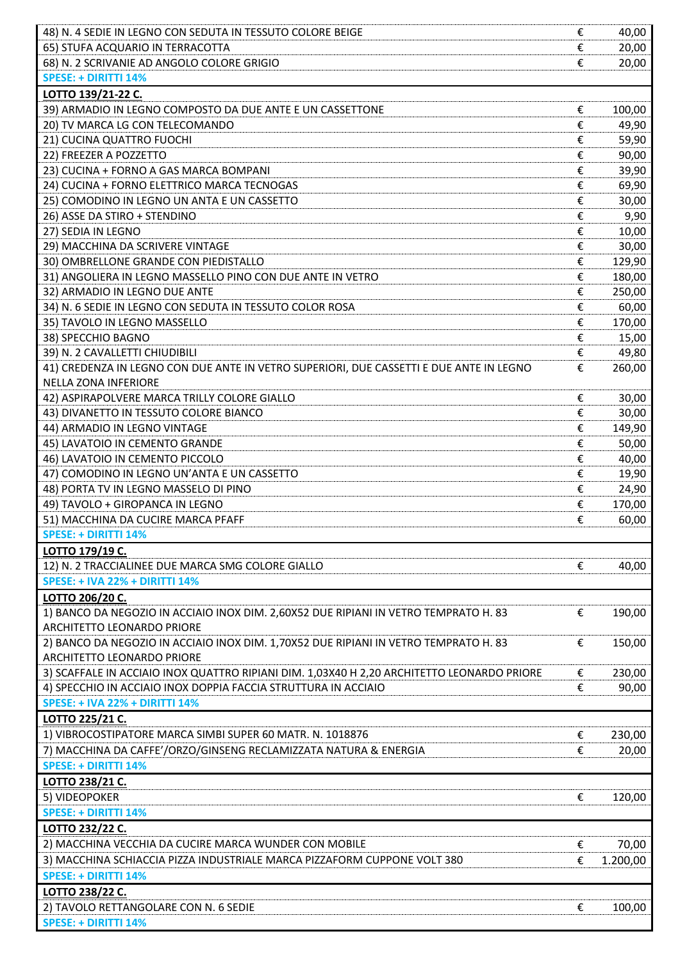| 48) N. 4 SEDIE IN LEGNO CON SEDUTA IN TESSUTO COLORE BEIGE<br>€                                 | 40,00         |
|-------------------------------------------------------------------------------------------------|---------------|
| €<br>65) STUFA ACQUARIO IN TERRACOTTA                                                           | 20,00         |
| 68) N. 2 SCRIVANIE AD ANGOLO COLORE GRIGIO<br>€                                                 | 20,00         |
| <b>SPESE: + DIRITTI 14%</b>                                                                     |               |
| LOTTO 139/21-22 C.                                                                              |               |
| 39) ARMADIO IN LEGNO COMPOSTO DA DUE ANTE E UN CASSETTONE<br>€                                  | 100,00        |
| 20) TV MARCA LG CON TELECOMANDO<br>€                                                            | 49,90         |
| 21) CUCINA QUATTRO FUOCHI<br>€                                                                  | 59,90         |
| 22) FREEZER A POZZETTO<br>€                                                                     | 90,00         |
| €<br>23) CUCINA + FORNO A GAS MARCA BOMPANI                                                     | 39,90         |
| 24) CUCINA + FORNO ELETTRICO MARCA TECNOGAS<br>€                                                | 69,90         |
| 25) COMODINO IN LEGNO UN ANTA E UN CASSETTO<br>€                                                |               |
| 26) ASSE DA STIRO + STENDINO<br>€                                                               | 30,00<br>9,90 |
| €<br>27) SEDIA IN LEGNO                                                                         | 10,00         |
| €<br>29) MACCHINA DA SCRIVERE VINTAGE                                                           | 30,00         |
| 30) OMBRELLONE GRANDE CON PIEDISTALLO<br>€                                                      | 129,90        |
| 31) ANGOLIERA IN LEGNO MASSELLO PINO CON DUE ANTE IN VETRO                                      |               |
| €                                                                                               | 180,00        |
| 32) ARMADIO IN LEGNO DUE ANTE<br>€                                                              | 250,00        |
| 34) N. 6 SEDIE IN LEGNO CON SEDUTA IN TESSUTO COLOR ROSA<br>€                                   | 60,00         |
| 35) TAVOLO IN LEGNO MASSELLO<br>€                                                               | 170,00        |
| €<br>38) SPECCHIO BAGNO                                                                         | 15,00         |
| 39) N. 2 CAVALLETTI CHIUDIBILI<br>€                                                             | 49,80         |
| 41) CREDENZA IN LEGNO CON DUE ANTE IN VETRO SUPERIORI, DUE CASSETTI E DUE ANTE IN LEGNO<br>€    | 260,00        |
| <b>NELLA ZONA INFERIORE</b>                                                                     |               |
| 42) ASPIRAPOLVERE MARCA TRILLY COLORE GIALLO<br>€                                               | 30,00         |
| 43) DIVANETTO IN TESSUTO COLORE BIANCO<br>€                                                     | 30,00         |
| 44) ARMADIO IN LEGNO VINTAGE<br>€                                                               | 149,90        |
| €<br>45) LAVATOIO IN CEMENTO GRANDE                                                             | 50,00         |
| €<br>46) LAVATOIO IN CEMENTO PICCOLO                                                            | 40,00         |
| 47) COMODINO IN LEGNO UN'ANTA E UN CASSETTO<br>€                                                | 19,90         |
| 48) PORTA TV IN LEGNO MASSELO DI PINO<br>€                                                      | 24,90         |
| 49) TAVOLO + GIROPANCA IN LEGNO<br>€                                                            | 170,00        |
| €<br>51) MACCHINA DA CUCIRE MARCA PFAFF                                                         | 60,00         |
| <b>SPESE: + DIRITTI 14%</b>                                                                     |               |
| LOTTO 179/19 C.                                                                                 |               |
| 12) N. 2 TRACCIALINEE DUE MARCA SMG COLORE GIALLO<br>€                                          | 40,00         |
| <b>SPESE: + IVA 22% + DIRITTI 14%</b>                                                           |               |
| LOTTO 206/20 C.                                                                                 |               |
| 1) BANCO DA NEGOZIO IN ACCIAIO INOX DIM. 2,60X52 DUE RIPIANI IN VETRO TEMPRATO H. 83<br>€       | 190,00        |
| ARCHITETTO LEONARDO PRIORE                                                                      |               |
| 2) BANCO DA NEGOZIO IN ACCIAIO INOX DIM. 1,70X52 DUE RIPIANI IN VETRO TEMPRATO H. 83<br>€       | 150,00        |
| ARCHITETTO LEONARDO PRIORE                                                                      |               |
| 3) SCAFFALE IN ACCIAIO INOX QUATTRO RIPIANI DIM. 1,03X40 H 2,20 ARCHITETTO LEONARDO PRIORE<br>€ | 230,00        |
| 4) SPECCHIO IN ACCIAIO INOX DOPPIA FACCIA STRUTTURA IN ACCIAIO<br>€                             | 90,00         |
| <b>SPESE: + IVA 22% + DIRITTI 14%</b>                                                           |               |
| LOTTO 225/21 C.                                                                                 |               |
| 1) VIBROCOSTIPATORE MARCA SIMBI SUPER 60 MATR. N. 1018876<br>€                                  | 230,00        |
| 7) MACCHINA DA CAFFE'/ORZO/GINSENG RECLAMIZZATA NATURA & ENERGIA<br>€                           | 20,00         |
| <b>SPESE: + DIRITTI 14%</b>                                                                     |               |
| LOTTO 238/21 C.                                                                                 |               |
| 5) VIDEOPOKER<br>€                                                                              | 120,00        |
| <b>SPESE: + DIRITTI 14%</b>                                                                     |               |
| LOTTO 232/22 C.                                                                                 |               |
| 2) MACCHINA VECCHIA DA CUCIRE MARCA WUNDER CON MOBILE<br>€                                      | 70,00         |
| 3) MACCHINA SCHIACCIA PIZZA INDUSTRIALE MARCA PIZZAFORM CUPPONE VOLT 380<br>€                   | 1.200,00      |
| <b>SPESE: + DIRITTI 14%</b>                                                                     |               |
| LOTTO 238/22 C.                                                                                 |               |
| 2) TAVOLO RETTANGOLARE CON N. 6 SEDIE<br>€                                                      | 100,00        |
| <b>SPESE: + DIRITTI 14%</b>                                                                     |               |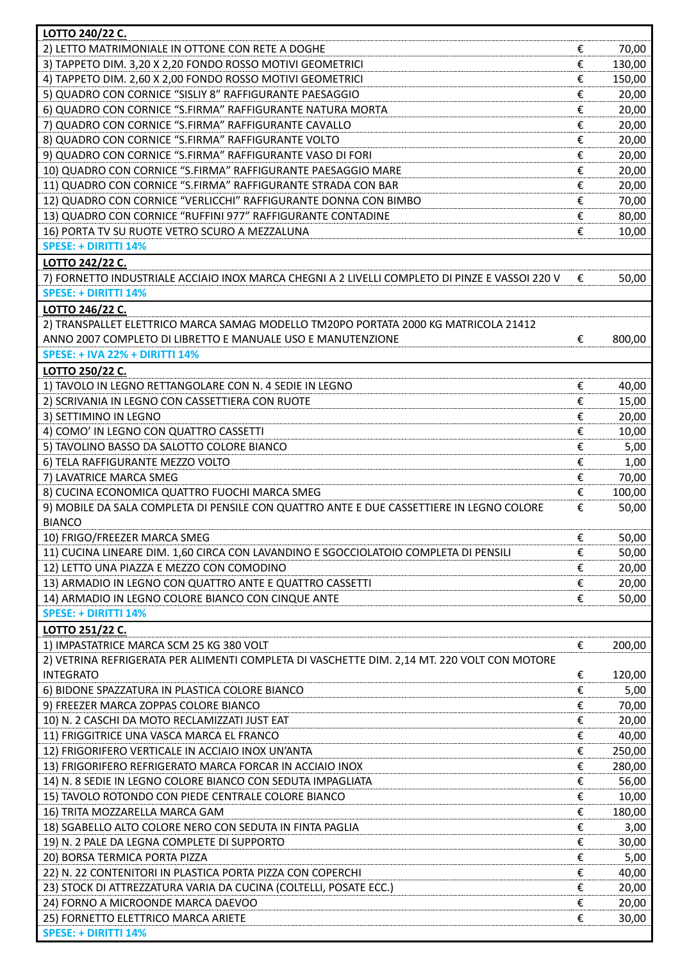| LOTTO 240/22 C.                                                                                                           |        |                 |
|---------------------------------------------------------------------------------------------------------------------------|--------|-----------------|
| 2) LETTO MATRIMONIALE IN OTTONE CON RETE A DOGHE                                                                          | €      | 70,00           |
| 3) TAPPETO DIM. 3,20 X 2,20 FONDO ROSSO MOTIVI GEOMETRICI                                                                 | €      | 130,00          |
| 4) TAPPETO DIM. 2,60 X 2,00 FONDO ROSSO MOTIVI GEOMETRICI                                                                 | €      | 150,00          |
| 5) QUADRO CON CORNICE "SISLIY 8" RAFFIGURANTE PAESAGGIO                                                                   | €      | 20,00           |
| 6) QUADRO CON CORNICE "S.FIRMA" RAFFIGURANTE NATURA MORTA                                                                 | €      | 20,00           |
| 7) QUADRO CON CORNICE "S.FIRMA" RAFFIGURANTE CAVALLO                                                                      | €      | 20,00           |
| 8) QUADRO CON CORNICE "S.FIRMA" RAFFIGURANTE VOLTO                                                                        | €      | 20,00           |
| 9) QUADRO CON CORNICE "S.FIRMA" RAFFIGURANTE VASO DI FORI<br>10) QUADRO CON CORNICE "S.FIRMA" RAFFIGURANTE PAESAGGIO MARE | €      | 20,00           |
| 11) QUADRO CON CORNICE "S.FIRMA" RAFFIGURANTE STRADA CON BAR                                                              | €<br>€ | 20,00<br>20,00  |
| 12) QUADRO CON CORNICE "VERLICCHI" RAFFIGURANTE DONNA CON BIMBO                                                           | €      | 70,00           |
| 13) QUADRO CON CORNICE "RUFFINI 977" RAFFIGURANTE CONTADINE                                                               | €      | 80,00           |
| 16) PORTA TV SU RUOTE VETRO SCURO A MEZZALUNA                                                                             | €      | 10,00           |
| <b>SPESE: + DIRITTI 14%</b>                                                                                               |        |                 |
| LOTTO 242/22 C.                                                                                                           |        |                 |
| 7) FORNETTO INDUSTRIALE ACCIAIO INOX MARCA CHEGNI A 2 LIVELLI COMPLETO DI PINZE E VASSOI 220 V                            | €      | 50,00           |
| <b>SPESE: + DIRITTI 14%</b>                                                                                               |        |                 |
| LOTTO 246/22 C.                                                                                                           |        |                 |
| 2) TRANSPALLET ELETTRICO MARCA SAMAG MODELLO TM20PO PORTATA 2000 KG MATRICOLA 21412                                       |        |                 |
| ANNO 2007 COMPLETO DI LIBRETTO E MANUALE USO E MANUTENZIONE                                                               | €      | 800,00          |
| <b>SPESE: + IVA 22% + DIRITTI 14%</b>                                                                                     |        |                 |
| LOTTO 250/22 C.                                                                                                           |        |                 |
| 1) TAVOLO IN LEGNO RETTANGOLARE CON N. 4 SEDIE IN LEGNO                                                                   | €      | 40,00           |
| 2) SCRIVANIA IN LEGNO CON CASSETTIERA CON RUOTE                                                                           | €      | 15,00           |
| 3) SETTIMINO IN LEGNO                                                                                                     | €      | 20,00           |
| 4) COMO' IN LEGNO CON QUATTRO CASSETTI                                                                                    | €      | 10,00           |
| 5) TAVOLINO BASSO DA SALOTTO COLORE BIANCO                                                                                | €      | 5,00            |
| 6) TELA RAFFIGURANTE MEZZO VOLTO                                                                                          | €      | 1,00            |
| 7) LAVATRICE MARCA SMEG<br>8) CUCINA ECONOMICA QUATTRO FUOCHI MARCA SMEG                                                  | €<br>€ | 70,00<br>100,00 |
| 9) MOBILE DA SALA COMPLETA DI PENSILE CON QUATTRO ANTE E DUE CASSETTIERE IN LEGNO COLORE                                  | €      | 50,00           |
| <b>BIANCO</b>                                                                                                             |        |                 |
| 10) FRIGO/FREEZER MARCA SMEG                                                                                              | €      | 50,00           |
| 11) CUCINA LINEARE DIM. 1,60 CIRCA CON LAVANDINO E SGOCCIOLATOIO COMPLETA DI PENSILI                                      | €      | 50,00           |
| 12) LETTO UNA PIAZZA E MEZZO CON COMODINO                                                                                 | €      | 20,00           |
| 13) ARMADIO IN LEGNO CON QUATTRO ANTE E QUATTRO CASSETTI                                                                  | €      | 20,00           |
| 14) ARMADIO IN LEGNO COLORE BIANCO CON CINQUE ANTE                                                                        | €      | 50,00           |
| <b>SPESE: + DIRITTI 14%</b>                                                                                               |        |                 |
| LOTTO 251/22 C.                                                                                                           |        |                 |
| 1) IMPASTATRICE MARCA SCM 25 KG 380 VOLT                                                                                  | €      | 200,00          |
| 2) VETRINA REFRIGERATA PER ALIMENTI COMPLETA DI VASCHETTE DIM. 2,14 MT. 220 VOLT CON MOTORE                               |        |                 |
| <b>INTEGRATO</b>                                                                                                          | €      | 120,00          |
| 6) BIDONE SPAZZATURA IN PLASTICA COLORE BIANCO                                                                            | €      | 5,00            |
| 9) FREEZER MARCA ZOPPAS COLORE BIANCO                                                                                     | €      | 70,00           |
| 10) N. 2 CASCHI DA MOTO RECLAMIZZATI JUST EAT                                                                             | €      | 20,00           |
| 11) FRIGGITRICE UNA VASCA MARCA EL FRANCO                                                                                 | €      | 40,00           |
| 12) FRIGORIFERO VERTICALE IN ACCIAIO INOX UN'ANTA                                                                         | €      | 250,00          |
| 13) FRIGORIFERO REFRIGERATO MARCA FORCAR IN ACCIAIO INOX<br>14) N. 8 SEDIE IN LEGNO COLORE BIANCO CON SEDUTA IMPAGLIATA   | €<br>€ | 280,00<br>56,00 |
| 15) TAVOLO ROTONDO CON PIEDE CENTRALE COLORE BIANCO                                                                       | €      | 10,00           |
| 16) TRITA MOZZARELLA MARCA GAM                                                                                            | €      | 180,00          |
| 18) SGABELLO ALTO COLORE NERO CON SEDUTA IN FINTA PAGLIA                                                                  | €      | 3,00            |
| 19) N. 2 PALE DA LEGNA COMPLETE DI SUPPORTO                                                                               | €      | 30,00           |
| 20) BORSA TERMICA PORTA PIZZA                                                                                             | €      | 5,00            |
| 22) N. 22 CONTENITORI IN PLASTICA PORTA PIZZA CON COPERCHI                                                                | €      | 40,00           |
| 23) STOCK DI ATTREZZATURA VARIA DA CUCINA (COLTELLI, POSATE ECC.)                                                         | €      | 20,00           |
| 24) FORNO A MICROONDE MARCA DAEVOO                                                                                        | €      | 20,00           |
| 25) FORNETTO ELETTRICO MARCA ARIETE                                                                                       | €      | 30,00           |
| <b>SPESE: + DIRITTI 14%</b>                                                                                               |        |                 |